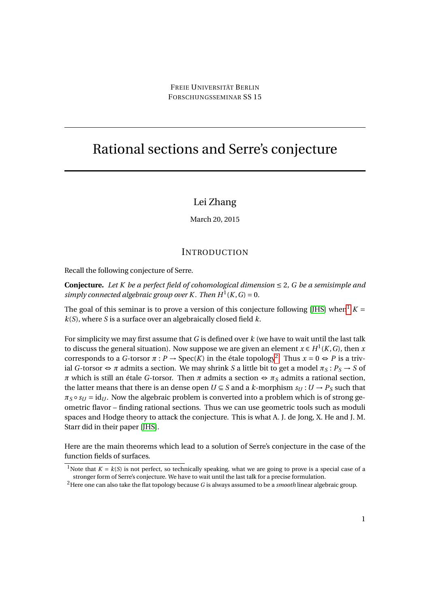# Rational sections and Serre's conjecture

## Lei Zhang

March 20, 2015

#### **INTRODUCTION**

Recall the following conjecture of Serre.

**Conjecture.** Let K be a perfect field of cohomological dimension  $\leq 2$ , G be a semisimple and *simply connected algebraic group over K. Then*  $H^1(K, G) = 0$ .

The goal of this seminar is to prove a version of this conjecture following [\[JHS\]](#page-5-0) when<sup>[1](#page-0-0)</sup>  $K =$ *k*(*S*), where *S* is a surface over an algebraically closed field *k*.

For simplicity we may first assume that *G* is defined over *k* (we have to wait until the last talk to discuss the general situation). Now suppose we are given an element  $x \in H^1(K, G)$ , then *x* corresponds to a *G*-torsor  $\pi$  :  $P \to \text{Spec}(K)$  in the étale topology<sup>[2](#page-0-1)</sup>. Thus  $x = 0 \Leftrightarrow P$  is a trivial *G*-torsor  $\Leftrightarrow$  *π* admits a section. We may shrink *S* a little bit to get a model  $\pi_S : P_S \to S$  of *π* which is still an étale *G*-torsor. Then *π* admits a section ⇔ *π*<sub>*S*</sub> admits a rational section, the latter means that there is an dense open  $U \subseteq S$  and a *k*-morphism  $s_U : U \to P_S$  such that  $\pi_S \circ s_U = id_U$ . Now the algebraic problem is converted into a problem which is of strong geometric flavor – finding rational sections. Thus we can use geometric tools such as moduli spaces and Hodge theory to attack the conjecture. This is what A. J. de Jong, X. He and J. M. Starr did in their paper [\[JHS\]](#page-5-0).

Here are the main theorems which lead to a solution of Serre's conjecture in the case of the function fields of surfaces.

<span id="page-0-0"></span><sup>&</sup>lt;sup>1</sup>Note that  $K = k(S)$  is not perfect, so technically speaking, what we are going to prove is a special case of a stronger form of Serre's conjecture. We have to wait until the last talk for a precise formulation.

<span id="page-0-1"></span><sup>2</sup>Here one can also take the flat topology because *G* is always assumed to be a *smooth* linear algebraic group.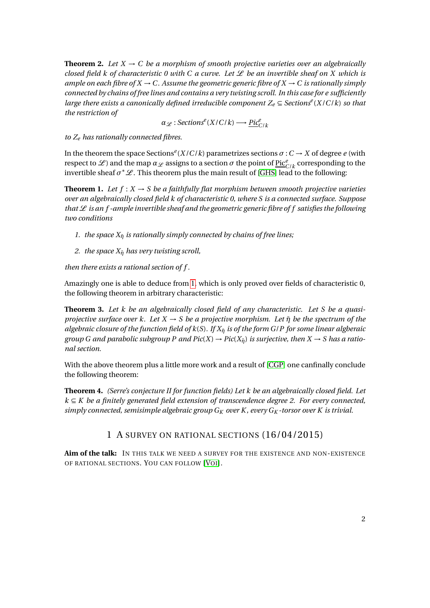**Theorem 2.** Let  $X \to C$  be a morphism of smooth projective varieties over an algebraically *closed field k of characteristic 0 with C a curve. Let*  $\mathcal L$  *be an invertible sheaf on X which is ample on each fibre of X*  $\rightarrow$  C. Assume the geometric generic fibre of X  $\rightarrow$  C is rationally simply *connected by chains of free lines and contains a very twisting scroll. In this case for e sufficiently large there exists a canonically defined irreducible component Z<sup>e</sup>* ⊆ *Sections<sup>e</sup>* (*X*/*C*/*k*) *so that the restriction of*

 $\alpha_{\mathscr{L}}:$  *Sections*<sup>*e*</sup>(*X*/*C*/*k*)  $\longrightarrow$   $\frac{Pic_{C/k}^e}{\cdots}$ 

*to Z<sup>e</sup> has rationally connected fibres.*

In the theorem the space Sections<sup>e</sup>( $X/C/k$ ) parametrizes sections  $\sigma: C \to X$  of degree *e* (with respect to  $\mathscr L$ ) and the map  $\alpha_\mathscr L$  assigns to a section  $\sigma$  the point of  $\underline{\mathrm{Pic}}^e_{C/k}$  corresponding to the invertible sheaf  $\sigma^* \mathscr{L}$ . This theorem plus the main result of [\[GHS\]](#page-4-0) lead to the following:

<span id="page-1-0"></span>**Theorem 1.** Let  $f: X \to S$  be a faithfully flat morphism between smooth projective varieties *over an algebraically closed field k of characteristic 0, where S is a connected surface. Suppose that*  $\mathcal L$  *is an f-ample invertible sheaf and the geometric generic fibre of f satisfies the following two conditions*

- *1. the space*  $X_{\bar{n}}$  *is rationally simply connected by chains of free lines;*
- *2. the space*  $X_{\bar{n}}$  *has very twisting scroll,*

*then there exists a rational section of f .*

Amazingly one is able to deduce from [1,](#page-1-0) which is only proved over fields of characteristic 0, the following theorem in arbitrary characteristic:

**Theorem 3.** *Let k be an algebraically closed field of any characteristic. Let S be a quasiprojective surface over k. Let*  $X \rightarrow S$  *be a projective morphism. Let*  $\bar{\eta}$  *be the spectrum of the algebraic closure of the function field of k*(*S*)*. If Xη*¯ *is of the form G*/*P for some linear algberaic group G and parabolic subgroup P and Pic(X)*  $\rightarrow$  *Pic(X<sub>n</sub>) is surjective, then X*  $\rightarrow$  *S has a rational section.*

With the above theorem plus a little more work and a result of [\[CGP\]](#page-4-1) one canfinally conclude the following theorem:

**Theorem 4.** *(Serre's conjecture II for function fields) Let k be an algebraically closed field. Let k* ⊆ *K be a finitely generated field extension of transcendence degree 2. For every connected, simply connected, semisimple algebraic group G<sup>K</sup> over K , every G<sup>K</sup> -torsor over K is trivial.*

## 1 A SURVEY ON RATIONAL SECTIONS (16/04/2015)

**Aim of the talk:** IN THIS TALK WE NEED A SURVEY FOR THE EXISTENCE AND NON-EXISTENCE OF RATIONAL SECTIONS. YOU CAN FOLLOW [V[OI](#page-5-1)].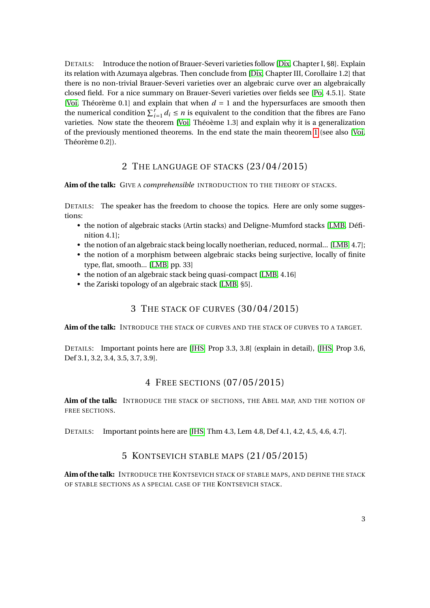DETAILS: Introduce the notion of Brauer-Severi varieties follow [\[Dix,](#page-4-2) Chapter I, §8]. Explain its relation with Azumaya algebras. Then conclude from [\[Dix,](#page-4-2) Chapter III, Corollaire 1.2] that there is no non-trivial Brauer-Severi varieties over an algebraic curve over an algebraically closed field. For a nice summary on Brauer-Severi varieties over fields see [\[Po,](#page-5-2) 4.5.1]. State [\[Voi,](#page-5-1) Théorème 0.1] and explain that when  $d = 1$  and the hypersurfaces are smooth then the numerical condition  $\sum_{i=1}^{r} d_i \leq n$  is equivalent to the condition that the fibres are Fano varieties. Now state the theorem [\[Voi,](#page-5-1) Théoème 1.3] and explain why it is a generalization of the previously mentioned theorems. In the end state the main theorem [1](#page-1-0) (see also [\[Voi,](#page-5-1) Théorème 0.2]).

#### 2 THE LANGUAGE OF STACKS (23/04/2015)

**Aim of the talk:** GIVE A *comprehensible* INTRODUCTION TO THE THEORY OF STACKS.

DETAILS: The speaker has the freedom to choose the topics. Here are only some suggestions:

- the notion of algebraic stacks (Artin stacks) and Deligne-Mumford stacks [\[LMB,](#page-5-3) Définition 4.1];
- the notion of an algebraic stack being locally noetherian, reduced, normal... [\[LMB,](#page-5-3) 4.7];
- the notion of a morphism between algebraic stacks being surjective, locally of finite type, flat, smooth... [\[LMB,](#page-5-3) pp. 33]
- the notion of an algebraic stack being quasi-compact [\[LMB,](#page-5-3) 4.16]
- the Zariski topology of an algebraic stack [\[LMB,](#page-5-3) §5].

#### 3 THE STACK OF CURVES (30/04/2015)

**Aim of the talk:** INTRODUCE THE STACK OF CURVES AND THE STACK OF CURVES TO A TARGET.

DETAILS: Important points here are [\[JHS,](#page-5-0) Prop 3.3, 3.8] (explain in detail), [\[JHS,](#page-5-0) Prop 3.6, Def 3.1, 3.2, 3.4, 3.5, 3.7, 3.9].

#### 4 FREE SECTIONS (07/05/2015)

**Aim of the talk:** INTRODUCE THE STACK OF SECTIONS, THE ABEL MAP, AND THE NOTION OF FREE SECTIONS.

DETAILS: Important points here are [\[JHS,](#page-5-0) Thm 4.3, Lem 4.8, Def 4.1, 4.2, 4.5, 4.6, 4.7].

#### 5 KONTSEVICH STABLE MAPS (21/05/2015)

**Aim of the talk:** INTRODUCE THE KONTSEVICH STACK OF STABLE MAPS, AND DEFINE THE STACK OF STABLE SECTIONS AS A SPECIAL CASE OF THE KONTSEVICH STACK.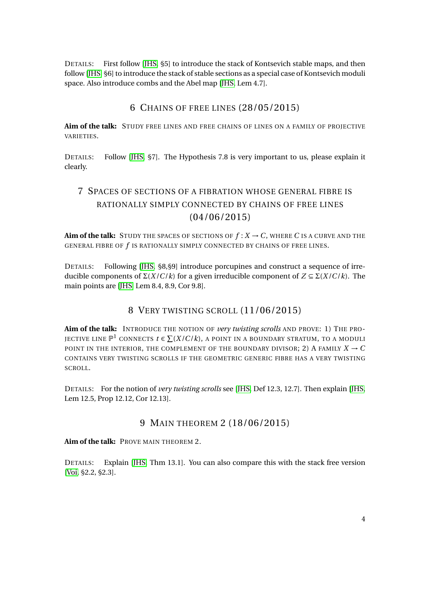DETAILS: First follow [\[JHS,](#page-5-0) §5] to introduce the stack of Kontsevich stable maps, and then follow [\[JHS,](#page-5-0) §6] to introduce the stack of stable sections as a special case of Kontsevich moduli space. Also introduce combs and the Abel map [\[JHS,](#page-5-0) Lem 4.7].

#### 6 CHAINS OF FREE LINES (28/05/2015)

**Aim of the talk:** STUDY FREE LINES AND FREE CHAINS OF LINES ON A FAMILY OF PROJECTIVE VARIETIES.

DETAILS: Follow [\[JHS,](#page-5-0) §7]. The Hypothesis 7.8 is very important to us, please explain it clearly.

## 7 SPACES OF SECTIONS OF A FIBRATION WHOSE GENERAL FIBRE IS RATIONALLY SIMPLY CONNECTED BY CHAINS OF FREE LINES (04/06/2015)

**Aim of the talk:** STUDY THE SPACES OF SECTIONS OF  $f: X \rightarrow C$ , WHERE C IS A CURVE AND THE GENERAL FIBRE OF *f* IS RATIONALLY SIMPLY CONNECTED BY CHAINS OF FREE LINES.

DETAILS: Following [\[JHS,](#page-5-0) §8,§9] introduce porcupines and construct a sequence of irreducible components of Σ(*X*/*C*/*k*) for a given irreducible component of *Z* ⊆ Σ(*X*/*C*/*k*). The main points are [\[JHS,](#page-5-0) Lem 8.4, 8.9, Cor 9.8].

## 8 VERY TWISTING SCROLL (11/06/2015)

**Aim of the talk:** INTRODUCE THE NOTION OF *very twisting scrolls* AND PROVE: 1) THE PRO-JECTIVE LINE  $\mathbb{P}^1$  connects  $t\in \sum (X/C/k)$ , a point in a boundary stratum, to a moduli POINT IN THE INTERIOR, THE COMPLEMENT OF THE BOUNDARY DIVISOR; 2) A FAMILY  $X \to C$ CONTAINS VERY TWISTING SCROLLS IF THE GEOMETRIC GENERIC FIBRE HAS A VERY TWISTING SCROLL.

DETAILS: For the notion of *very twisting scrolls* see [\[JHS,](#page-5-0) Def 12.3, 12.7]. Then explain [\[JHS,](#page-5-0) Lem 12.5, Prop 12.12, Cor 12.13].

#### 9 MAIN THEOREM 2 (18/06/2015)

**Aim of the talk:** PROVE MAIN THEOREM 2.

DETAILS: Explain [\[JHS,](#page-5-0) Thm 13.1]. You can also compare this with the stack free version [\[Voi,](#page-5-1) §2.2, §2.3].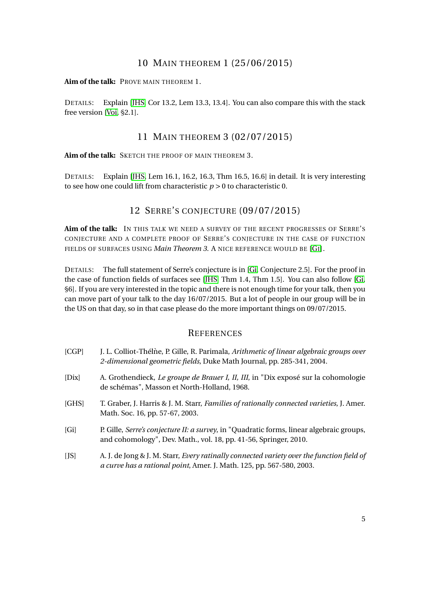## 10 MAIN THEOREM 1 (25/06/2015)

**Aim of the talk:** PROVE MAIN THEOREM 1.

DETAILS: Explain [\[JHS,](#page-5-0) Cor 13.2, Lem 13.3, 13.4]. You can also compare this with the stack free version [\[Voi,](#page-5-1) §2.1].

#### 11 MAIN THEOREM 3 (02/07/2015)

**Aim of the talk:** SKETCH THE PROOF OF MAIN THEOREM 3.

DETAILS: Explain [\[JHS,](#page-5-0) Lem 16.1, 16.2, 16.3, Thm 16.5, 16.6] in detail. It is very interesting to see how one could lift from characteristic  $p > 0$  to characteristic 0.

#### 12 SERRE'S CONJECTURE (09/07/2015)

**Aim of the talk:** IN THIS TALK WE NEED A SURVEY OF THE RECENT PROGRESSES OF SERRE'S CONJECTURE AND A COMPLETE PROOF OF SERRE'S CONJECTURE IN THE CASE OF FUNCTION FIELDS OF SURFACES USING *Main Theorem 3*. A NICE REFERENCE WOULD BE [\[G](#page-4-3)I].

DETAILS: The full statement of Serre's conjecture is in [\[Gi,](#page-4-3) Conjecture 2.5]. For the proof in the case of function fields of surfaces see [\[JHS,](#page-5-0) Thm 1.4, Thm 1.5]. You can also follow [\[Gi,](#page-4-3) §6]. If you are very interested in the topic and there is not enough time for your talk, then you can move part of your talk to the day 16/07/2015. But a lot of people in our group will be in the US on that day, so in that case please do the more important things on 09/07/2015.

#### **REFERENCES**

- <span id="page-4-1"></span>[CGP] J. L. Colliot-Thélne, P. Gille, R. Parimala, ` *Arithmetic of linear algebraic groups over 2-dimensional geometric fields*, Duke Math Journal, pp. 285-341, 2004.
- <span id="page-4-2"></span>[Dix] A. Grothendieck, *Le groupe de Brauer I, II, III*, in "Dix exposé sur la cohomologie de schémas", Masson et North-Holland, 1968.
- <span id="page-4-0"></span>[GHS] T. Graber, J. Harris & J. M. Starr, *Families of rationally connected varieties*, J. Amer. Math. Soc. 16, pp. 57-67, 2003.
- <span id="page-4-3"></span>[Gi] P. Gille, *Serre's conjecture II: a survey*, in "Quadratic forms, linear algebraic groups, and cohomology", Dev. Math., vol. 18, pp. 41-56, Springer, 2010.
- [JS] A. J. de Jong & J. M. Starr, *Every ratinally connected variety over the function field of a curve has a rational point*, Amer. J. Math. 125, pp. 567-580, 2003.